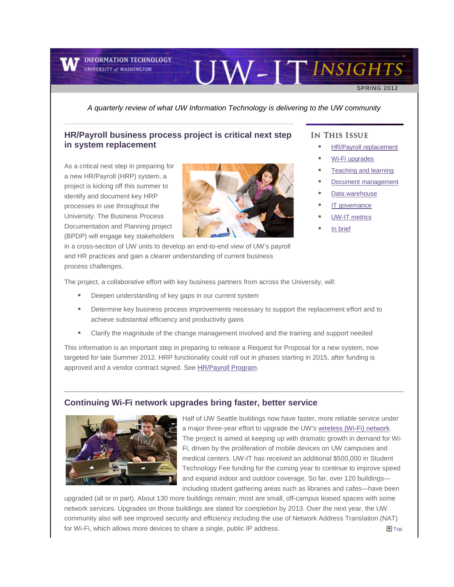

**INFORMATION TECHNOLOGY UNIVERSITY of WASHINGTON** 

# UW-ITINSIGHTS

SPRING 2012

*A quarterly review of what UW Information Technology is delivering to the UW community*

# <span id="page-0-0"></span>**HR/Payroll business process project is critical next step in system replacement**

As a critical next step in preparing for a new HR/Payroll (HRP) system, a project is kicking off this summer to identify and document key HRP processes in use throughout the University. The Business Process Documentation and Planning project (BPDP) will engage key stakeholders



in a cross-section of UW units to develop an end-to-end view of UW's payroll and HR practices and gain a clearer understanding of current business process challenges.

## IN THIS ISSUE

- [HR/Payroll replacement](#page-0-0)
- [Wi-Fi upgrades](#page-0-1)
- [Teaching and learning](#page-1-0)
- [Document management](#page-2-0)
- [Data warehouse](#page-2-1)
- [IT governance](#page-3-0)
- [UW-IT metrics](#page-3-1)
- [In brief](#page-4-0)

The project, a collaborative effort with key business partners from across the University, will:

- Deepen understanding of key gaps in our current system
- Determine key business process improvements necessary to support the replacement effort and to achieve substantial efficiency and productivity gains
- Clarify the magnitude of the change management involved and the training and support needed

This information is an important step in preparing to release a Request for Proposal for a new system, now targeted for late Summer 2012. HRP functionality could roll out in phases starting in 2015, after funding is approved and a vendor contract signed. See [HR/Payroll Program.](http://engage.washington.edu/site/R?i=VcNev-8_KINCIhHOmn_MNg)

## <span id="page-0-1"></span>**Continuing Wi-Fi network upgrades bring faster, better service**



Half of UW Seattle buildings now have faster, more reliable service under a major three-year effort to upgrade the UW'[s wireless \(Wi-Fi\) network.](http://engage.washington.edu/site/R?i=v5cSMxx-tVPQp8HZs0-9SA) The project is aimed at keeping up with dramatic growth in demand for Wi-Fi, driven by the proliferation of mobile devices on UW campuses and medical centers. UW-IT has received an additional \$500,000 in Student Technology Fee funding for the coming year to continue to improve speed and expand indoor and outdoor coverage. So far, over 120 buildings including student gathering areas such as libraries and cafes—have been

upgraded (all or in part). About 130 more buildings remain; most are small, off-campus leased spaces with some network services. Upgrades on those buildings are slated for completion by 2013. Over the next year, the UW community also will see improved security and efficiency including the use of Network Address Translation (NAT) for Wi-Fi, which allows more devices to share a single, public IP address.  $\blacksquare$  [Top](#page-0-0)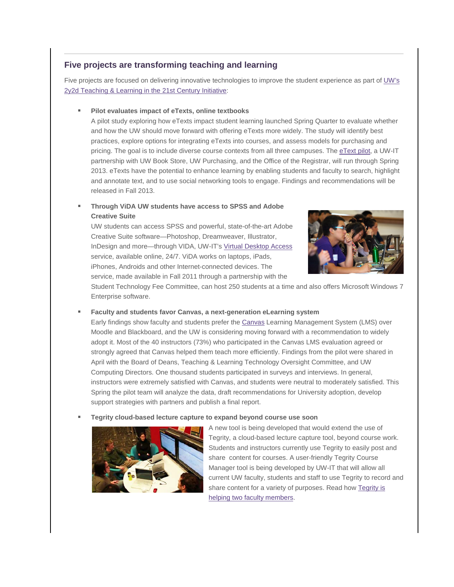# <span id="page-1-0"></span>**Five projects are transforming teaching and learning**

Five projects are focused on delivering innovative technologies to improve the student experience as part o[f UW's](http://engage.washington.edu/site/R?i=sjgcgU4aBJGqKbPG2cMX-A)  [2y2d Teaching & Learning in the 21st Century Initiative:](http://engage.washington.edu/site/R?i=sjgcgU4aBJGqKbPG2cMX-A)

## **Pilot evaluates impact of eTexts, online textbooks**

A pilot study exploring how eTexts impact student learning launched Spring Quarter to evaluate whether and how the UW should move forward with offering eTexts more widely. The study will identify best practices, explore options for integrating eTexts into courses, and assess models for purchasing and pricing. The goal is to include diverse course contexts from all three campuses. The [eText pilot,](http://engage.washington.edu/site/R?i=5Q9736zjXYFVRuYI9cgXmw) a UW-IT partnership with UW Book Store, UW Purchasing, and the Office of the Registrar, will run through Spring 2013. eTexts have the potential to enhance learning by enabling students and faculty to search, highlight and annotate text, and to use social networking tools to engage. Findings and recommendations will be released in Fall 2013.

## **Through ViDA UW students have access to SPSS and Adobe Creative Suite**

UW students can access SPSS and powerful, state-of-the-art Adobe Creative Suite software—Photoshop, Dreamweaver, Illustrator, InDesign and more—through VIDA, UW-IT's [Virtual Desktop Access](http://engage.washington.edu/site/R?i=MLrp85a1w4WB89C5USxVLw) service, available online, 24/7. ViDA works on laptops, iPads, iPhones, Androids and other Internet-connected devices. The service, made available in Fall 2011 through a partnership with the



Student Technology Fee Committee, can host 250 students at a time and also offers Microsoft Windows 7 Enterprise software.

## **Faculty and students favor Canvas, a next-generation eLearning system**

Early findings show faculty and students prefer the [Canvas](http://engage.washington.edu/site/R?i=yauY64ZhkGgGWNHerwIr3w) Learning Management System (LMS) over Moodle and Blackboard, and the UW is considering moving forward with a recommendation to widely adopt it. Most of the 40 instructors (73%) who participated in the Canvas LMS evaluation agreed or strongly agreed that Canvas helped them teach more efficiently. Findings from the pilot were shared in April with the Board of Deans, Teaching & Learning Technology Oversight Committee, and UW Computing Directors. One thousand students participated in surveys and interviews. In general, instructors were extremely satisfied with Canvas, and students were neutral to moderately satisfied. This Spring the pilot team will analyze the data, draft recommendations for University adoption, develop support strategies with partners and publish a final report.

#### **Tegrity cloud-based lecture capture to expand beyond course use soon**



A new tool is being developed that would extend the use of Tegrity, a cloud-based lecture capture tool, beyond course work. Students and instructors currently use Tegrity to easily post and share content for courses. A user-friendly Tegrity Course Manager tool is being developed by UW-IT that will allow all current UW faculty, students and staff to use Tegrity to record and share content for a variety of purposes. Read how [Tegrity is](http://engage.washington.edu/site/R?i=fdEBPpINdUGOgapHzkWkLA)  [helping two faculty members.](http://engage.washington.edu/site/R?i=fdEBPpINdUGOgapHzkWkLA)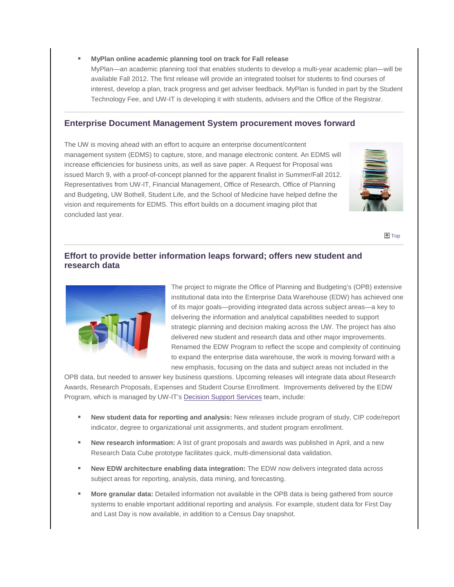## **MyPlan online academic planning tool on track for Fall release**

MyPlan—an academic planning tool that enables students to develop a multi-year academic plan—will be available Fall 2012. The first release will provide an integrated toolset for students to find courses of interest, develop a plan, track progress and get adviser feedback. MyPlan is funded in part by the Student Technology Fee, and UW-IT is developing it with students, advisers and the Office of the Registra[r.](#page-0-0)

## <span id="page-2-0"></span>**Enterprise Document Management System procurement moves forward**

The UW is moving ahead with an effort to acquire an enterprise document/content management system (EDMS) to capture, store, and manage electronic content. An EDMS will increase efficiencies for business units, as well as save paper. A Request for Proposal was issued March 9, with a proof-of-concept planned for the apparent finalist in Summer/Fall 2012. Representatives from UW-IT, Financial Management, Office of Research, Office of Planning and Budgeting, UW Bothell, Student Life, and the School of Medicine have helped define the vision and requirements for EDMS. This effort builds on a document imaging pilot that concluded last year.



<span id="page-2-1"></span>[Top](#page-0-0) Top Top And Top And Top And Top And Top And Top And Top And Top And Top And Top And Top And Top And Top And Top And Top And Top And Top And Top And Top And Top And Top And Top And Top And Top And Top And Top And Top A

# **Effort to provide better information leaps forward; offers new student and research data**



The project to migrate the Office of Planning and Budgeting's (OPB) extensive institutional data into the Enterprise Data Warehouse (EDW) has achieved one of its major goals—providing integrated data across subject areas—a key to delivering the information and analytical capabilities needed to support strategic planning and decision making across the UW. The project has also delivered new student and research data and other major improvements. Renamed the EDW Program to reflect the scope and complexity of continuing to expand the enterprise data warehouse, the work is moving forward with a new emphasis, focusing on the data and subject areas not included in the

OPB data, but needed to answer key business questions. Upcoming releases will integrate data about Research Awards, Research Proposals, Expenses and Student Course Enrollment. Improvements delivered by the EDW Program, which is managed by UW-IT's [Decision Support Services](http://engage.washington.edu/site/R?i=HqJpvUagktU5LjGRQD8fsw) team, include:

- **New student data for reporting and analysis:** New releases include program of study, CIP code/report indicator, degree to organizational unit assignments, and student program enrollment.
- **New research information:** A list of grant proposals and awards was published in April, and a new Research Data Cube prototype facilitates quick, multi-dimensional data validation.
- **New EDW architecture enabling data integration:** The EDW now delivers integrated data across subject areas for reporting, analysis, data mining, and forecasting.
- **More granular data:** Detailed information not available in the OPB data is being gathered from source systems to enable important additional reporting and analysis. For example, student data for First Day and Last Day is now available, in addition to a Census Day snapshot.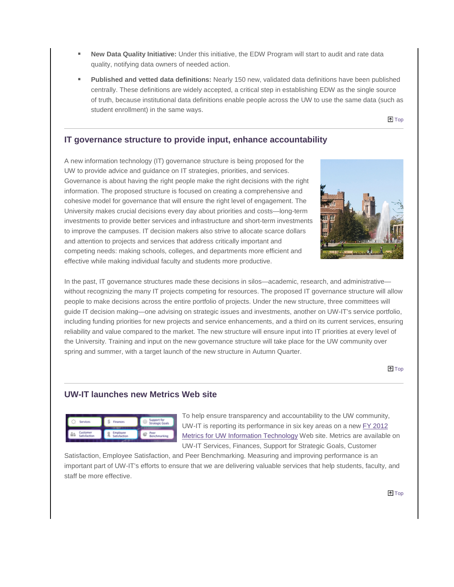- **New Data Quality Initiative:** Under this initiative, the EDW Program will start to audit and rate data quality, notifying data owners of needed action.
- **Published and vetted data definitions:** Nearly 150 new, validated data definitions have been published centrally. These definitions are widely accepted, a critical step in establishing EDW as the single source of truth, because institutional data definitions enable people across the UW to use the same data (such as student enrollment) in the same ways.

**T**op

# <span id="page-3-0"></span>**IT governance structure to provide input, enhance accountability**

A new information technology (IT) governance structure is being proposed for the UW to provide advice and guidance on IT strategies, priorities, and services. Governance is about having the right people make the right decisions with the right information. The proposed structure is focused on creating a comprehensive and cohesive model for governance that will ensure the right level of engagement. The University makes crucial decisions every day about priorities and costs—long-term investments to provide better services and infrastructure and short-term investments to improve the campuses. IT decision makers also strive to allocate scarce dollars and attention to projects and services that address critically important and competing needs: making schools, colleges, and departments more efficient and effective while making individual faculty and students more productive.



In the past, IT governance structures made these decisions in silos—academic, research, and administrative– without recognizing the many IT projects competing for resources. The proposed IT governance structure will allow people to make decisions across the entire portfolio of projects. Under the new structure, three committees will guide IT decision making—one advising on strategic issues and investments, another on UW-IT's service portfolio, including funding priorities for new projects and service enhancements, and a third on its current services, ensuring reliability and value compared to the market. The new structure will ensure input into IT priorities at every level of the University. Training and input on the new governance structure will take place for the UW community over spring and summer, with a target launch of the new structure in Autumn Quarter.

**T**op

# <span id="page-3-1"></span>**UW-IT launches new Metrics Web site**

| r,                        | Finances                 | Support for<br>Strategic Goals |
|---------------------------|--------------------------|--------------------------------|
| Cusitomer<br>Satisfaction | Employee<br>Satisfaction | Benchmarking                   |

To help ensure transparency and accountability to the UW community, UW-IT is reporting its performance in six key areas on a new [FY 2012](http://engage.washington.edu/site/R?i=28UvTqvH9320ro6CHt7wIQ)  [Metrics for UW Information Technology](http://engage.washington.edu/site/R?i=28UvTqvH9320ro6CHt7wIQ) Web site. Metrics are available on UW-IT Services, Finances, Support for Strategic Goals, Customer

Satisfaction, Employee Satisfaction, and Peer Benchmarking. Measuring and improving performance is an important part of UW-IT's efforts to ensure that we are delivering valuable services that help students, faculty, and staff be more effective.

**T**op